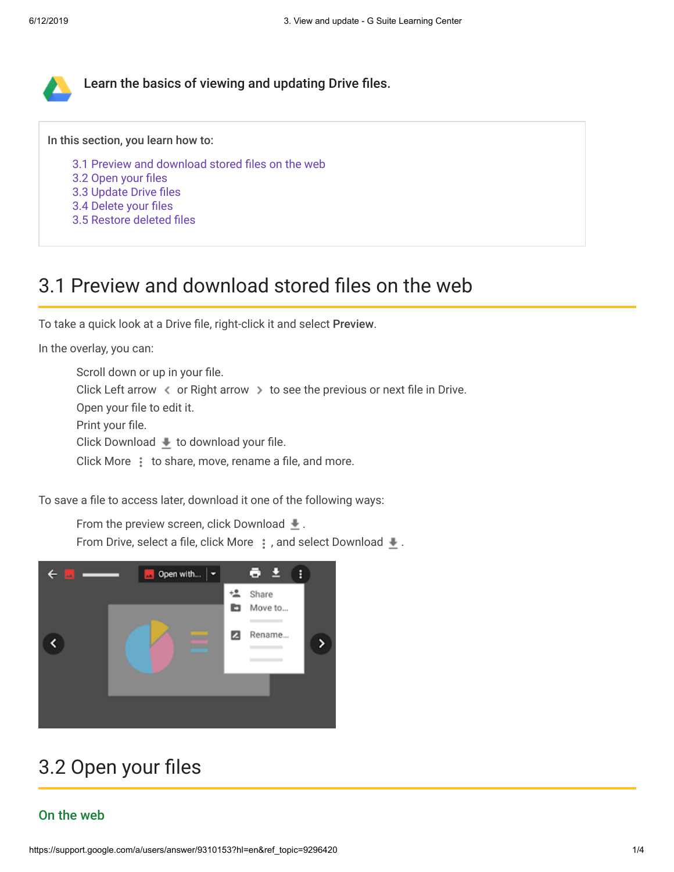

In this section, you learn how to:

- [3.1 Preview and download stored files on the web](https://support.google.com/a/users/answer/9310153?hl=en&ref_topic=9296420#3.1)
- [3.2 Open your files](https://support.google.com/a/users/answer/9310153?hl=en&ref_topic=9296420#3.2)
- [3.3 Update Drive files](https://support.google.com/a/users/answer/9310153?hl=en&ref_topic=9296420#3.3)
- [3.4 Delete your files](https://support.google.com/a/users/answer/9310153?hl=en&ref_topic=9296420#3.4)
- [3.5 Restore deleted files](https://support.google.com/a/users/answer/9310153?hl=en&ref_topic=9296420#3.5)

## 3.1 Preview and download stored files on the web

To take a quick look at a Drive file, right-click it and select Preview.

In the overlay, you can:

Scroll down or up in your file. Click Left arrow  $\triangleleft$  or Right arrow  $\triangleright$  to see the previous or next file in Drive. Open your file to edit it. Print your file. Click Download  $\bullet$  to download your file. Click More: to share, move, rename a file, and more.

To save a file to access later, download it one of the following ways:

From the preview screen, click Download  $\pm$ .

From Drive, select a file, click More  $\ddot{\cdot}$ , and select Download  $\ddot{\cdot}$ .



# 3.2 Open your files

## On the web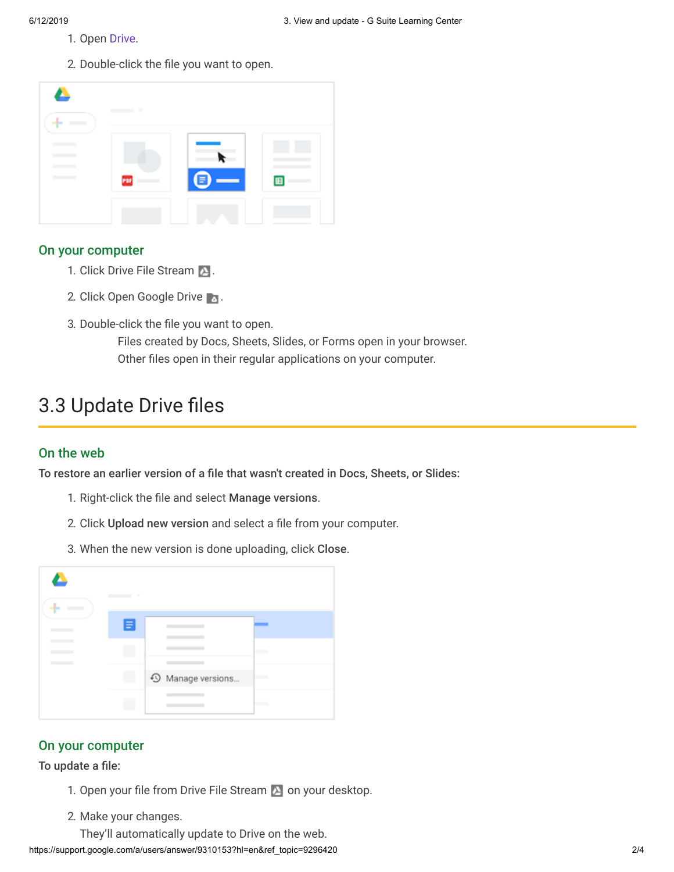- 1. Open [Drive](https://drive.google.com/).
- 2. Double-click the file you want to open.

| $\bullet$                                                                                                                                                                                                                                                                                                                                                                                                                                                                                  | $\sim$ |   |   |
|--------------------------------------------------------------------------------------------------------------------------------------------------------------------------------------------------------------------------------------------------------------------------------------------------------------------------------------------------------------------------------------------------------------------------------------------------------------------------------------------|--------|---|---|
| $\overline{\phantom{a}}$<br>$\sim$ $\sim$<br>$\frac{1}{2} \left( \frac{1}{2} \right)^{2} \left( \frac{1}{2} \right)^{2} \left( \frac{1}{2} \right)^{2} \left( \frac{1}{2} \right)^{2} \left( \frac{1}{2} \right)^{2} \left( \frac{1}{2} \right)^{2} \left( \frac{1}{2} \right)^{2} \left( \frac{1}{2} \right)^{2} \left( \frac{1}{2} \right)^{2} \left( \frac{1}{2} \right)^{2} \left( \frac{1}{2} \right)^{2} \left( \frac{1}{2} \right)^{2} \left( \frac{1}{2} \right)^{2} \left( \frac$ | PDF    | ≡ | 圓 |
|                                                                                                                                                                                                                                                                                                                                                                                                                                                                                            |        |   |   |

#### On your computer

- 1. Click Drive File Stream 2.
- 2. Click Open Google Drive
- 3. Double-click the file you want to open.

Files created by Docs, Sheets, Slides, or Forms open in your browser. Other files open in their regular applications on your computer.

# 3.3 Update Drive files

### On the web

To restore an earlier version of a file that wasn't created in Docs, Sheets, or Slides:

- 1. Right-click the file and select Manage versions.
- 2. Click Upload new version and select a file from your computer.
- 3. When the new version is done uploading, click Close.



## On your computer

To update a file:

- 1. Open your file from Drive File Stream  $\sum$  on your desktop.
- 2. Make your changes.
	- They'll automatically update to Drive on the web.

https://support.google.com/a/users/answer/9310153?hl=en&ref\_topic=9296420 2/4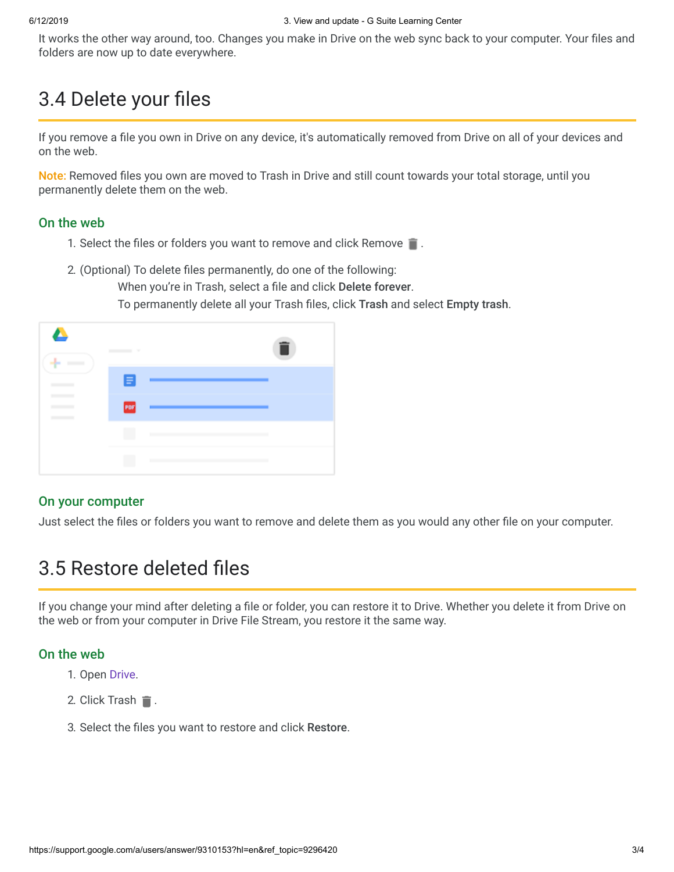It works the other way around, too. Changes you make in Drive on the web sync back to your computer. Your files and folders are now up to date everywhere.

# 3.4 Delete your files

If you remove a file you own in Drive on any device, it's automatically removed from Drive on all of your devices and on the web.

Note: Removed files you own are moved to Trash in Drive and still count towards your total storage, until you permanently delete them on the web.

### On the web

- 1. Select the files or folders you want to remove and click Remove  $\blacksquare$ .
- 2. (Optional) To delete files permanently, do one of the following:

When you're in Trash, select a file and click Delete forever. To permanently delete all your Trash files, click Trash and select Empty trash.

|  | $\sim$ |                                                                          | î |
|--|--------|--------------------------------------------------------------------------|---|
|  | Е      |                                                                          |   |
|  | PDF    |                                                                          |   |
|  |        | <b>CONTRACTOR</b>                                                        |   |
|  | Ш      | <b>Contract Contract</b><br>the control of the control of the control of |   |

### On your computer

Just select the files or folders you want to remove and delete them as you would any other file on your computer.

# 3.5 Restore deleted files

If you change your mind after deleting a file or folder, you can restore it to Drive. Whether you delete it from Drive on the web or from your computer in Drive File Stream, you restore it the same way.

### On the web

- 1. Open [Drive](https://drive.google.com/).
- 2. Click Trash  $\blacksquare$ .
- 3. Select the files you want to restore and click Restore.